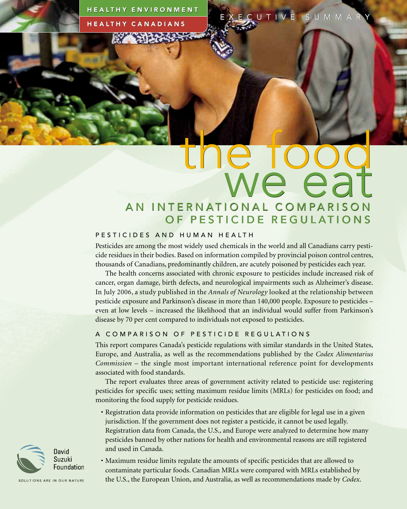HEALTHY ENVIRONMENT HEALTHY CANADIANS

ECUTIVE SUMMARY

# the food AN INTERNATIONAL COMPARISON OF PESTICIDE REGULATIONS

### PESTICIDES AND HUMAN HEALTH

Pesticides are among the most widely used chemicals in the world and all Canadians carry pesticide residues in their bodies. Based on information compiled by provincial poison control centres, thousands of Canadians, predominantly children, are acutely poisoned by pesticides each year.

The health concerns associated with chronic exposure to pesticides include increased risk of cancer, organ damage, birth defects, and neurological impairments such as Alzheimer's disease. In July 2006, a study published in the *Annals of Neurology* looked at the relationship between pesticide exposure and Parkinson's disease in more than 140,000 people. Exposure to pesticides – even at low levels – increased the likelihood that an individual would suffer from Parkinson's disease by 70 per cent compared to individuals not exposed to pesticides.

#### A COMPARISON OF PESTICIDE REGULATIONS

This report compares Canada's pesticide regulations with similar standards in the United States, Europe, and Australia, as well as the recommendations published by the *Codex Alimentarius Commission* – the single most important international reference point for developments associated with food standards.

The report evaluates three areas of government activity related to pesticide use: registering pesticides for specific uses; setting maximum residue limits (MRLs) for pesticides on food; and monitoring the food supply for pesticide residues.

- Registration data provide information on pesticides that are eligible for legal use in a given jurisdiction. If the government does not register a pesticide, it cannot be used legally. Registration data from Canada, the U.S., and Europe were analyzed to determine how many pesticides banned by other nations for health and environmental reasons are still registered and used in Canada.
- Maximum residue limits regulate the amounts of specific pesticides that are allowed to contaminate particular foods. Canadian MRLs were compared with MRLs established by the U.S., the European Union, and Australia, as well as recommendations made by *Codex*.



SOLUTIONS ARE IN OUR NATURE